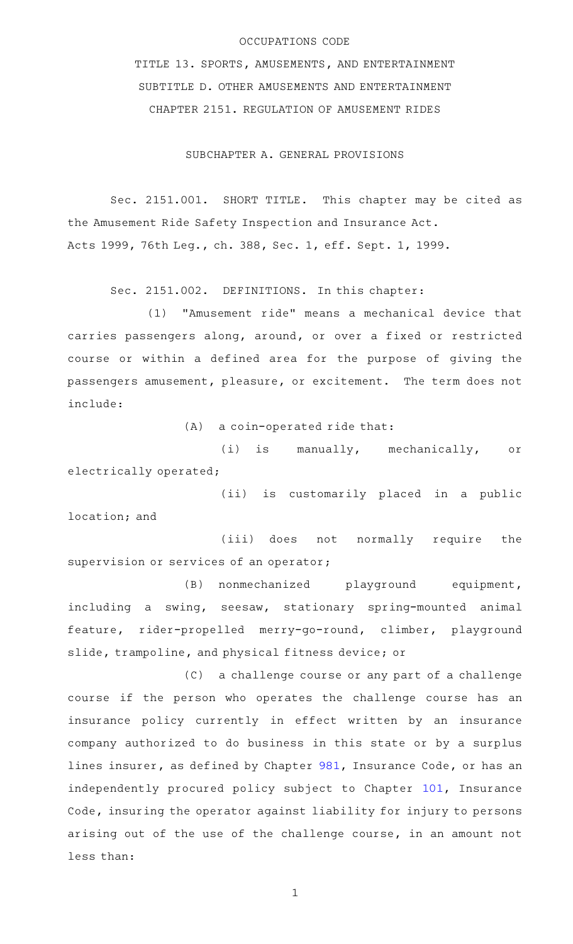## OCCUPATIONS CODE

TITLE 13. SPORTS, AMUSEMENTS, AND ENTERTAINMENT SUBTITLE D. OTHER AMUSEMENTS AND ENTERTAINMENT CHAPTER 2151. REGULATION OF AMUSEMENT RIDES

SUBCHAPTER A. GENERAL PROVISIONS

Sec. 2151.001. SHORT TITLE. This chapter may be cited as the Amusement Ride Safety Inspection and Insurance Act. Acts 1999, 76th Leg., ch. 388, Sec. 1, eff. Sept. 1, 1999.

Sec. 2151.002. DEFINITIONS. In this chapter:

(1) "Amusement ride" means a mechanical device that carries passengers along, around, or over a fixed or restricted course or within a defined area for the purpose of giving the passengers amusement, pleasure, or excitement. The term does not include:

 $(A)$  a coin-operated ride that:

(i) is manually, mechanically, or electrically operated;

(ii) is customarily placed in a public location; and

(iii) does not normally require the supervision or services of an operator;

(B) nonmechanized playground equipment, including a swing, seesaw, stationary spring-mounted animal feature, rider-propelled merry-go-round, climber, playground slide, trampoline, and physical fitness device; or

(C) a challenge course or any part of a challenge course if the person who operates the challenge course has an insurance policy currently in effect written by an insurance company authorized to do business in this state or by a surplus lines insurer, as defined by Chapter [981](http://www.statutes.legis.state.tx.us/GetStatute.aspx?Code=IN&Value=981), Insurance Code, or has an independently procured policy subject to Chapter [101](http://www.statutes.legis.state.tx.us/GetStatute.aspx?Code=IN&Value=101), Insurance Code, insuring the operator against liability for injury to persons arising out of the use of the challenge course, in an amount not less than: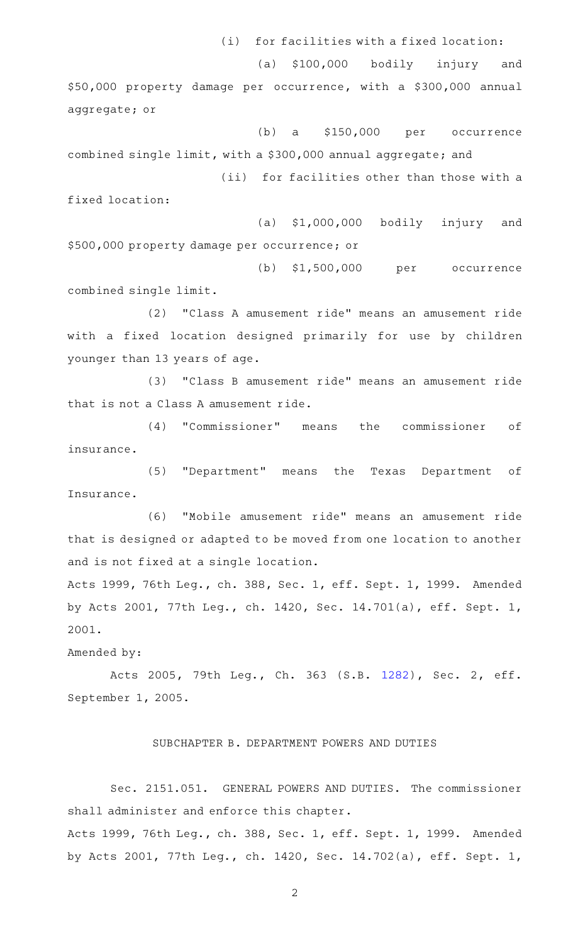(i) for facilities with a fixed location:

(a) \$100,000 bodily injury and \$50,000 property damage per occurrence, with a \$300,000 annual aggregate; or

 $(b)$  a  $$150,000$  per occurrence combined single limit, with a \$300,000 annual aggregate; and (ii) for facilities other than those with a

fixed location:

 $(a)$  \$1,000,000 bodily injury and \$500,000 property damage per occurrence; or

(b) \$1,500,000 per occurrence combined single limit.

(2) "Class A amusement ride" means an amusement ride with a fixed location designed primarily for use by children younger than 13 years of age.

(3) "Class B amusement ride" means an amusement ride that is not a Class A amusement ride.

(4) "Commissioner" means the commissioner of insurance.

(5) "Department" means the Texas Department of Insurance.

(6) "Mobile amusement ride" means an amusement ride that is designed or adapted to be moved from one location to another and is not fixed at a single location.

Acts 1999, 76th Leg., ch. 388, Sec. 1, eff. Sept. 1, 1999. Amended by Acts 2001, 77th Leg., ch. 1420, Sec. 14.701(a), eff. Sept. 1, 2001.

Amended by:

Acts 2005, 79th Leg., Ch. 363 (S.B. [1282](http://www.legis.state.tx.us/tlodocs/79R/billtext/html/SB01282F.HTM)), Sec. 2, eff. September 1, 2005.

## SUBCHAPTER B. DEPARTMENT POWERS AND DUTIES

Sec. 2151.051. GENERAL POWERS AND DUTIES. The commissioner shall administer and enforce this chapter. Acts 1999, 76th Leg., ch. 388, Sec. 1, eff. Sept. 1, 1999. Amended

2

by Acts 2001, 77th Leg., ch. 1420, Sec. 14.702(a), eff. Sept. 1,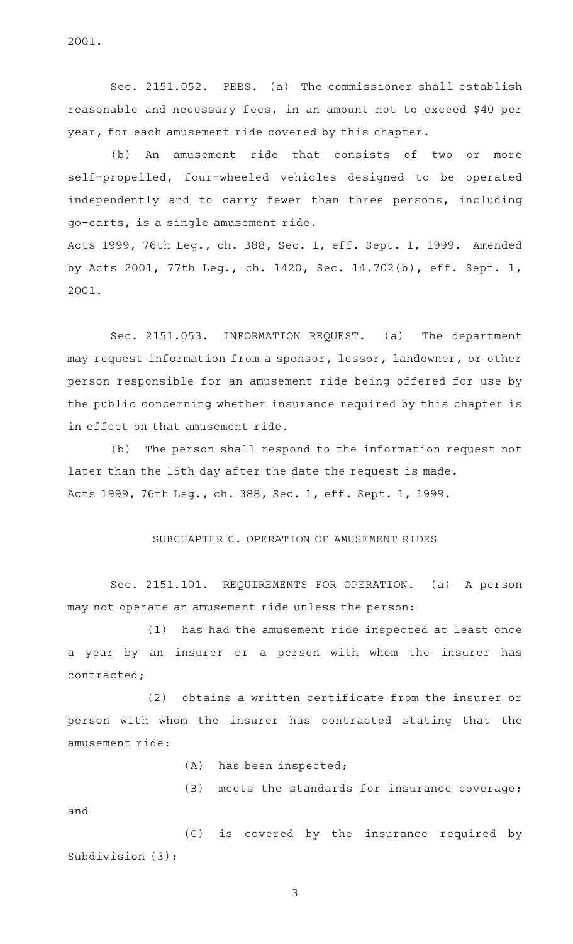2001.

Sec. 2151.052. FEES. (a) The commissioner shall establish reasonable and necessary fees, in an amount not to exceed \$40 per year, for each amusement ride covered by this chapter.

(b) An amusement ride that consists of two or more self-propelled, four-wheeled vehicles designed to be operated independently and to carry fewer than three persons, including go-carts, is a single amusement ride. Acts 1999, 76th Leg., ch. 388, Sec. 1, eff. Sept. 1, 1999. Amended

by Acts 2001, 77th Leg., ch. 1420, Sec. 14.702(b), eff. Sept. 1, 2001.

Sec. 2151.053. INFORMATION REQUEST. (a) The department may request information from a sponsor, lessor, landowner, or other person responsible for an amusement ride being offered for use by the public concerning whether insurance required by this chapter is in effect on that amusement ride.

(b) The person shall respond to the information request not later than the 15th day after the date the request is made. Acts 1999, 76th Leg., ch. 388, Sec. 1, eff. Sept. 1, 1999.

## SUBCHAPTER C. OPERATION OF AMUSEMENT RIDES

Sec. 2151.101. REQUIREMENTS FOR OPERATION. (a) A person may not operate an amusement ride unless the person:

 $(1)$  has had the amusement ride inspected at least once a year by an insurer or a person with whom the insurer has contracted;

(2) obtains a written certificate from the insurer or person with whom the insurer has contracted stating that the amusement ride:

(A) has been inspected;

 $(B)$  meets the standards for insurance coverage; and

(C) is covered by the insurance required by Subdivision (3);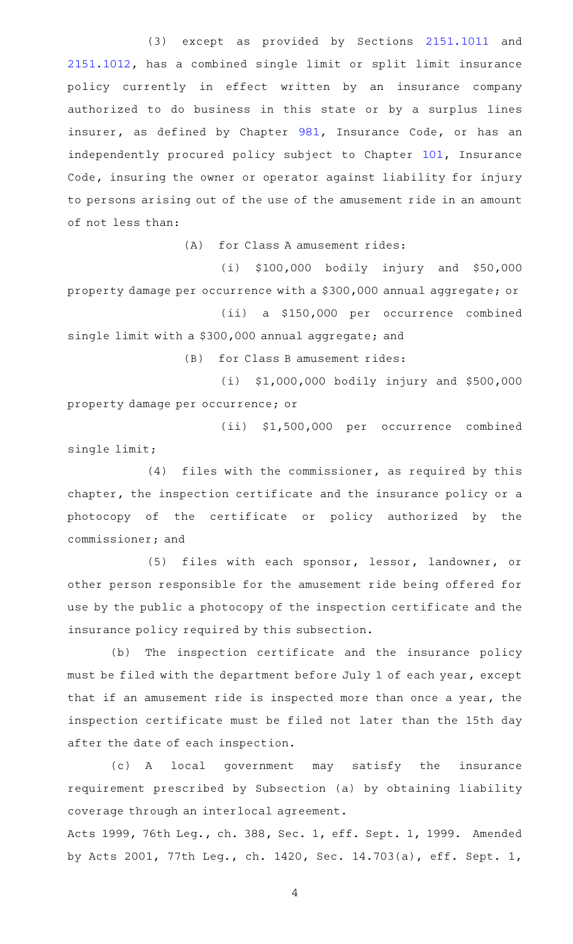(3) except as provided by Sections [2151.1011](http://www.statutes.legis.state.tx.us/GetStatute.aspx?Code=OC&Value=2151.1011) and [2151.1012,](http://www.statutes.legis.state.tx.us/GetStatute.aspx?Code=OC&Value=2151.1012) has a combined single limit or split limit insurance policy currently in effect written by an insurance company authorized to do business in this state or by a surplus lines insurer, as defined by Chapter [981](http://www.statutes.legis.state.tx.us/GetStatute.aspx?Code=IN&Value=981), Insurance Code, or has an independently procured policy subject to Chapter [101](http://www.statutes.legis.state.tx.us/GetStatute.aspx?Code=IN&Value=101), Insurance Code, insuring the owner or operator against liability for injury to persons arising out of the use of the amusement ride in an amount of not less than:

 $(A)$  for Class A amusement rides:

 $(i)$  \$100,000 bodily injury and \$50,000 property damage per occurrence with a \$300,000 annual aggregate; or (ii) a \$150,000 per occurrence combined

single limit with a \$300,000 annual aggregate; and

(B) for Class B amusement rides:

(i) \$1,000,000 bodily injury and \$500,000 property damage per occurrence; or

(ii) \$1,500,000 per occurrence combined single limit;

 $(4)$  files with the commissioner, as required by this chapter, the inspection certificate and the insurance policy or a photocopy of the certificate or policy authorized by the commissioner; and

(5) files with each sponsor, lessor, landowner, or other person responsible for the amusement ride being offered for use by the public a photocopy of the inspection certificate and the insurance policy required by this subsection.

(b) The inspection certificate and the insurance policy must be filed with the department before July 1 of each year, except that if an amusement ride is inspected more than once a year, the inspection certificate must be filed not later than the 15th day after the date of each inspection.

(c)AAA local government may satisfy the insurance requirement prescribed by Subsection (a) by obtaining liability coverage through an interlocal agreement.

Acts 1999, 76th Leg., ch. 388, Sec. 1, eff. Sept. 1, 1999. Amended by Acts 2001, 77th Leg., ch. 1420, Sec. 14.703(a), eff. Sept. 1,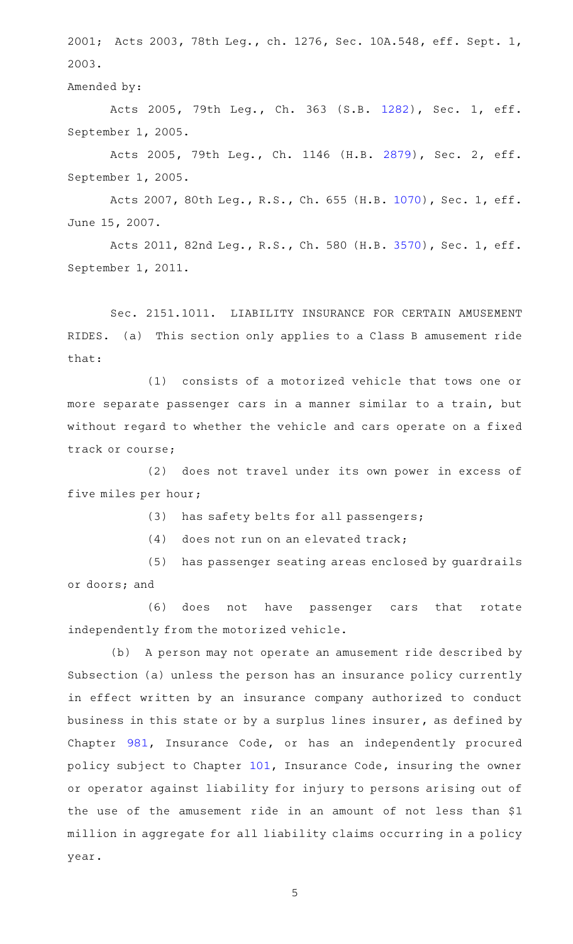2001; Acts 2003, 78th Leg., ch. 1276, Sec. 10A.548, eff. Sept. 1, 2003.

Amended by:

Acts 2005, 79th Leg., Ch. 363 (S.B. [1282](http://www.legis.state.tx.us/tlodocs/79R/billtext/html/SB01282F.HTM)), Sec. 1, eff. September 1, 2005.

Acts 2005, 79th Leg., Ch. 1146 (H.B. [2879](http://www.legis.state.tx.us/tlodocs/79R/billtext/html/HB02879F.HTM)), Sec. 2, eff. September 1, 2005.

Acts 2007, 80th Leg., R.S., Ch. 655 (H.B. [1070](http://www.legis.state.tx.us/tlodocs/80R/billtext/html/HB01070F.HTM)), Sec. 1, eff. June 15, 2007.

Acts 2011, 82nd Leg., R.S., Ch. 580 (H.B. [3570](http://www.legis.state.tx.us/tlodocs/82R/billtext/html/HB03570F.HTM)), Sec. 1, eff. September 1, 2011.

Sec. 2151.1011. LIABILITY INSURANCE FOR CERTAIN AMUSEMENT RIDES. (a) This section only applies to a Class B amusement ride that:

 $(1)$  consists of a motorized vehicle that tows one or more separate passenger cars in a manner similar to a train, but without regard to whether the vehicle and cars operate on a fixed track or course;

(2) does not travel under its own power in excess of five miles per hour;

(3) has safety belts for all passengers;

 $(4)$  does not run on an elevated track;

(5) has passenger seating areas enclosed by guardrails or doors; and

(6) does not have passenger cars that rotate independently from the motorized vehicle.

(b) A person may not operate an amusement ride described by Subsection (a) unless the person has an insurance policy currently in effect written by an insurance company authorized to conduct business in this state or by a surplus lines insurer, as defined by Chapter [981](http://www.statutes.legis.state.tx.us/GetStatute.aspx?Code=IN&Value=981), Insurance Code, or has an independently procured policy subject to Chapter [101,](http://www.statutes.legis.state.tx.us/GetStatute.aspx?Code=IN&Value=101) Insurance Code, insuring the owner or operator against liability for injury to persons arising out of the use of the amusement ride in an amount of not less than \$1 million in aggregate for all liability claims occurring in a policy year.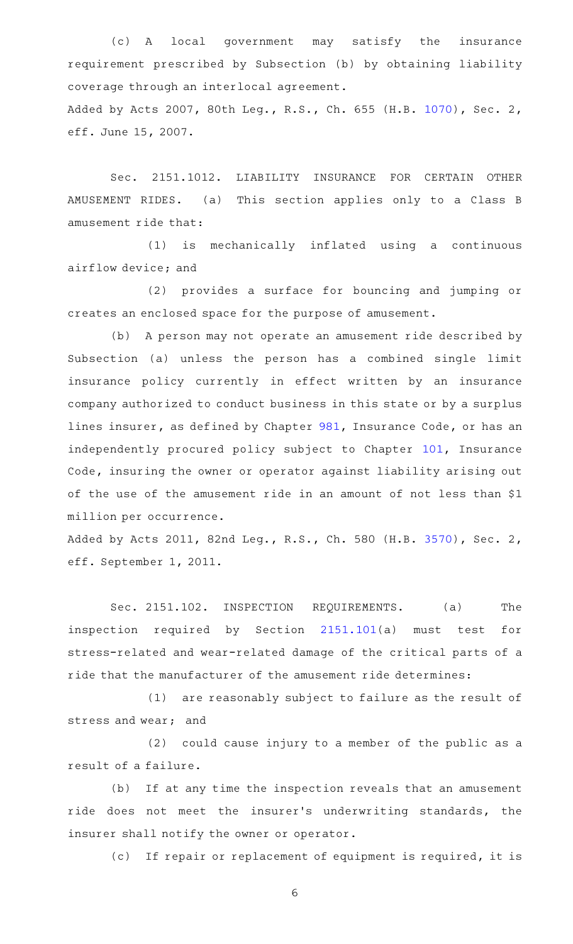(c)AAA local government may satisfy the insurance requirement prescribed by Subsection (b) by obtaining liability coverage through an interlocal agreement. Added by Acts 2007, 80th Leg., R.S., Ch. 655 (H.B. [1070](http://www.legis.state.tx.us/tlodocs/80R/billtext/html/HB01070F.HTM)), Sec. 2, eff. June 15, 2007.

Sec. 2151.1012. LIABILITY INSURANCE FOR CERTAIN OTHER AMUSEMENT RIDES. (a) This section applies only to a Class B amusement ride that:

(1) is mechanically inflated using a continuous airflow device; and

(2) provides a surface for bouncing and jumping or creates an enclosed space for the purpose of amusement.

(b) A person may not operate an amusement ride described by Subsection (a) unless the person has a combined single limit insurance policy currently in effect written by an insurance company authorized to conduct business in this state or by a surplus lines insurer, as defined by Chapter [981](http://www.statutes.legis.state.tx.us/GetStatute.aspx?Code=IN&Value=981), Insurance Code, or has an independently procured policy subject to Chapter [101](http://www.statutes.legis.state.tx.us/GetStatute.aspx?Code=IN&Value=101), Insurance Code, insuring the owner or operator against liability arising out of the use of the amusement ride in an amount of not less than \$1 million per occurrence.

Added by Acts 2011, 82nd Leg., R.S., Ch. 580 (H.B. [3570](http://www.legis.state.tx.us/tlodocs/82R/billtext/html/HB03570F.HTM)), Sec. 2, eff. September 1, 2011.

Sec. 2151.102. INSPECTION REQUIREMENTS. (a) The inspection required by Section [2151.101\(](http://www.statutes.legis.state.tx.us/GetStatute.aspx?Code=OC&Value=2151.101)a) must test for stress-related and wear-related damage of the critical parts of a ride that the manufacturer of the amusement ride determines:

(1) are reasonably subject to failure as the result of stress and wear; and

(2) could cause injury to a member of the public as a result of a failure.

(b) If at any time the inspection reveals that an amusement ride does not meet the insurer 's underwriting standards, the insurer shall notify the owner or operator.

(c) If repair or replacement of equipment is required, it is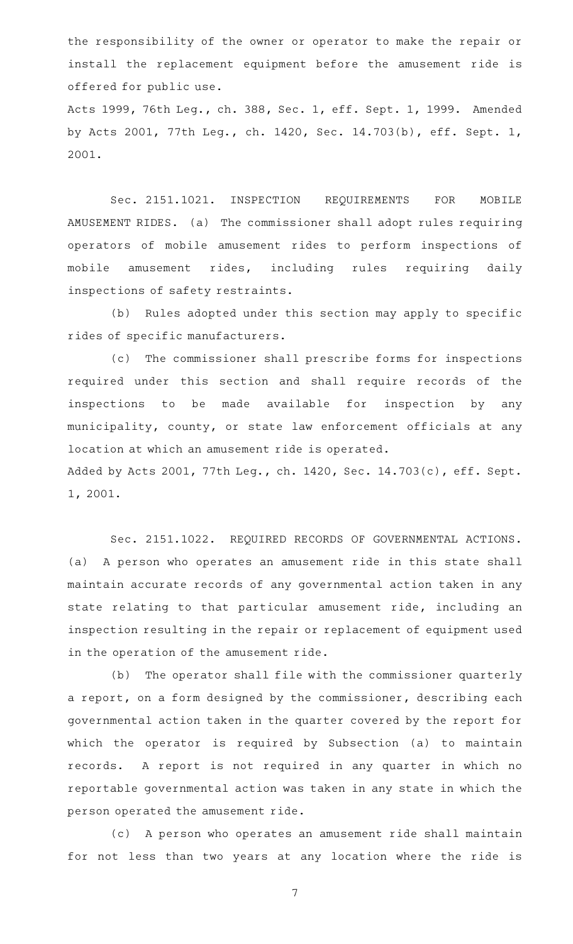the responsibility of the owner or operator to make the repair or install the replacement equipment before the amusement ride is offered for public use. Acts 1999, 76th Leg., ch. 388, Sec. 1, eff. Sept. 1, 1999. Amended by Acts 2001, 77th Leg., ch. 1420, Sec. 14.703(b), eff. Sept. 1, 2001.

Sec. 2151.1021. INSPECTION REQUIREMENTS FOR MOBILE AMUSEMENT RIDES. (a) The commissioner shall adopt rules requiring operators of mobile amusement rides to perform inspections of mobile amusement rides, including rules requiring daily inspections of safety restraints.

(b) Rules adopted under this section may apply to specific rides of specific manufacturers.

(c) The commissioner shall prescribe forms for inspections required under this section and shall require records of the inspections to be made available for inspection by any municipality, county, or state law enforcement officials at any location at which an amusement ride is operated.

Added by Acts 2001, 77th Leg., ch. 1420, Sec. 14.703(c), eff. Sept. 1, 2001.

Sec. 2151.1022. REQUIRED RECORDS OF GOVERNMENTAL ACTIONS. (a) A person who operates an amusement ride in this state shall maintain accurate records of any governmental action taken in any state relating to that particular amusement ride, including an inspection resulting in the repair or replacement of equipment used in the operation of the amusement ride.

(b) The operator shall file with the commissioner quarterly a report, on a form designed by the commissioner, describing each governmental action taken in the quarter covered by the report for which the operator is required by Subsection (a) to maintain records. A report is not required in any quarter in which no reportable governmental action was taken in any state in which the person operated the amusement ride.

(c) A person who operates an amusement ride shall maintain for not less than two years at any location where the ride is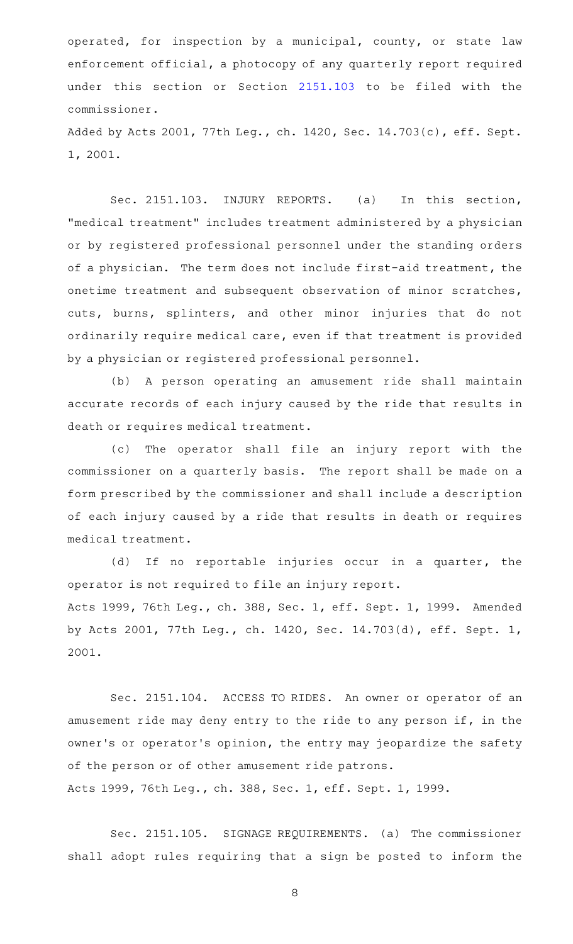operated, for inspection by a municipal, county, or state law enforcement official, a photocopy of any quarterly report required under this section or Section [2151.103](http://www.statutes.legis.state.tx.us/GetStatute.aspx?Code=OC&Value=2151.103) to be filed with the commissioner.

Added by Acts 2001, 77th Leg., ch. 1420, Sec. 14.703(c), eff. Sept. 1, 2001.

Sec. 2151.103. INJURY REPORTS. (a) In this section, "medical treatment" includes treatment administered by a physician or by registered professional personnel under the standing orders of a physician. The term does not include first-aid treatment, the onetime treatment and subsequent observation of minor scratches, cuts, burns, splinters, and other minor injuries that do not ordinarily require medical care, even if that treatment is provided by a physician or registered professional personnel.

(b) A person operating an amusement ride shall maintain accurate records of each injury caused by the ride that results in death or requires medical treatment.

(c) The operator shall file an injury report with the commissioner on a quarterly basis. The report shall be made on a form prescribed by the commissioner and shall include a description of each injury caused by a ride that results in death or requires medical treatment.

(d) If no reportable injuries occur in a quarter, the operator is not required to file an injury report. Acts 1999, 76th Leg., ch. 388, Sec. 1, eff. Sept. 1, 1999. Amended by Acts 2001, 77th Leg., ch. 1420, Sec. 14.703(d), eff. Sept. 1, 2001.

Sec. 2151.104. ACCESS TO RIDES. An owner or operator of an amusement ride may deny entry to the ride to any person if, in the owner 's or operator 's opinion, the entry may jeopardize the safety of the person or of other amusement ride patrons. Acts 1999, 76th Leg., ch. 388, Sec. 1, eff. Sept. 1, 1999.

Sec. 2151.105. SIGNAGE REQUIREMENTS. (a) The commissioner shall adopt rules requiring that a sign be posted to inform the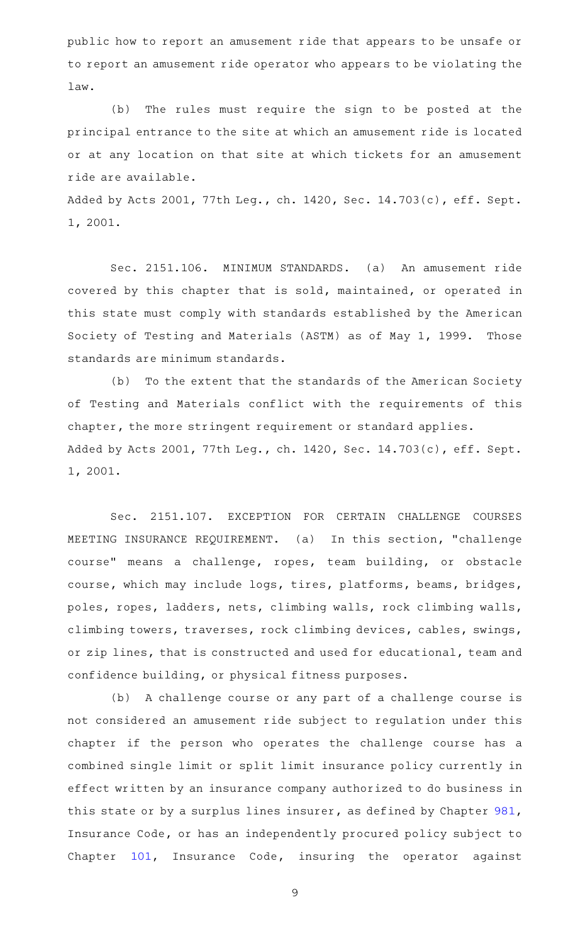public how to report an amusement ride that appears to be unsafe or to report an amusement ride operator who appears to be violating the law.

(b) The rules must require the sign to be posted at the principal entrance to the site at which an amusement ride is located or at any location on that site at which tickets for an amusement ride are available.

Added by Acts 2001, 77th Leg., ch. 1420, Sec. 14.703(c), eff. Sept. 1, 2001.

Sec. 2151.106. MINIMUM STANDARDS. (a) An amusement ride covered by this chapter that is sold, maintained, or operated in this state must comply with standards established by the American Society of Testing and Materials (ASTM) as of May 1, 1999. Those standards are minimum standards.

(b) To the extent that the standards of the American Society of Testing and Materials conflict with the requirements of this chapter, the more stringent requirement or standard applies. Added by Acts 2001, 77th Leg., ch. 1420, Sec. 14.703(c), eff. Sept. 1, 2001.

Sec. 2151.107. EXCEPTION FOR CERTAIN CHALLENGE COURSES MEETING INSURANCE REQUIREMENT. (a) In this section, "challenge course" means a challenge, ropes, team building, or obstacle course, which may include logs, tires, platforms, beams, bridges, poles, ropes, ladders, nets, climbing walls, rock climbing walls, climbing towers, traverses, rock climbing devices, cables, swings, or zip lines, that is constructed and used for educational, team and confidence building, or physical fitness purposes.

(b) A challenge course or any part of a challenge course is not considered an amusement ride subject to regulation under this chapter if the person who operates the challenge course has a combined single limit or split limit insurance policy currently in effect written by an insurance company authorized to do business in this state or by a surplus lines insurer, as defined by Chapter [981](http://www.statutes.legis.state.tx.us/GetStatute.aspx?Code=IN&Value=981), Insurance Code, or has an independently procured policy subject to Chapter [101,](http://www.statutes.legis.state.tx.us/GetStatute.aspx?Code=IN&Value=101) Insurance Code, insuring the operator against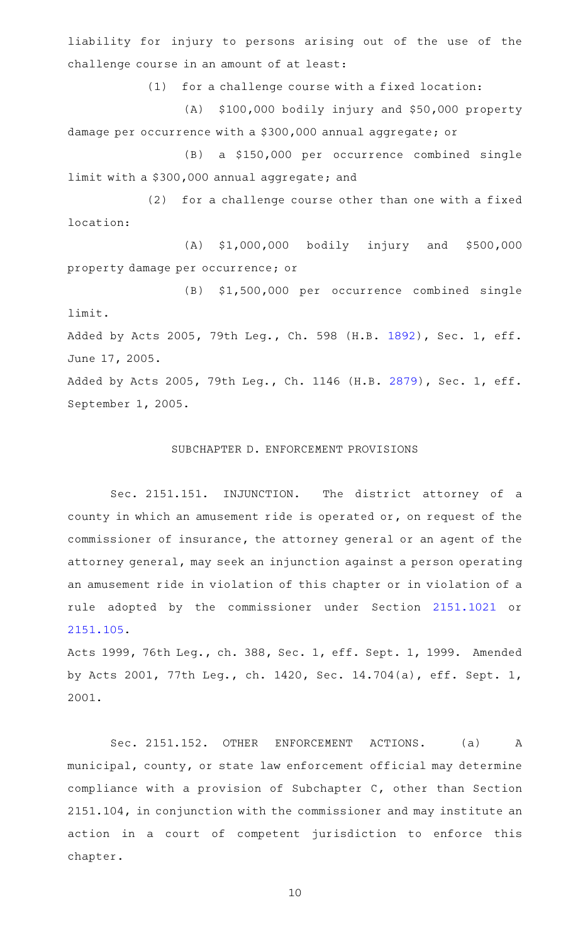liability for injury to persons arising out of the use of the challenge course in an amount of at least:

 $(1)$  for a challenge course with a fixed location:

(A) \$100,000 bodily injury and \$50,000 property damage per occurrence with a \$300,000 annual aggregate; or

(B) a \$150,000 per occurrence combined single limit with a \$300,000 annual aggregate; and

(2) for a challenge course other than one with a fixed location:

(A) \$1,000,000 bodily injury and \$500,000 property damage per occurrence; or

(B) \$1,500,000 per occurrence combined single limit. Added by Acts 2005, 79th Leg., Ch. 598 (H.B. [1892](http://www.legis.state.tx.us/tlodocs/79R/billtext/html/HB01892F.HTM)), Sec. 1, eff.

June 17, 2005.

Added by Acts 2005, 79th Leg., Ch. 1146 (H.B. [2879\)](http://www.legis.state.tx.us/tlodocs/79R/billtext/html/HB02879F.HTM), Sec. 1, eff. September 1, 2005.

## SUBCHAPTER D. ENFORCEMENT PROVISIONS

Sec. 2151.151. INJUNCTION. The district attorney of a county in which an amusement ride is operated or, on request of the commissioner of insurance, the attorney general or an agent of the attorney general, may seek an injunction against a person operating an amusement ride in violation of this chapter or in violation of a rule adopted by the commissioner under Section [2151.1021](http://www.statutes.legis.state.tx.us/GetStatute.aspx?Code=OC&Value=2151.1021) or [2151.105](http://www.statutes.legis.state.tx.us/GetStatute.aspx?Code=OC&Value=2151.105).

Acts 1999, 76th Leg., ch. 388, Sec. 1, eff. Sept. 1, 1999. Amended by Acts 2001, 77th Leg., ch. 1420, Sec. 14.704(a), eff. Sept. 1, 2001.

Sec. 2151.152. OTHER ENFORCEMENT ACTIONS. (a) A municipal, county, or state law enforcement official may determine compliance with a provision of Subchapter C, other than Section 2151.104, in conjunction with the commissioner and may institute an action in a court of competent jurisdiction to enforce this chapter.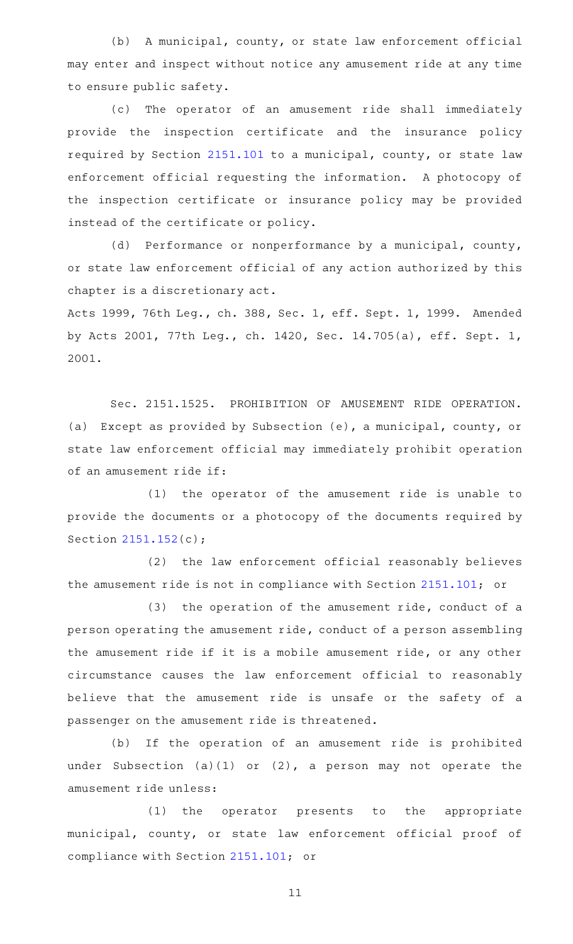(b) A municipal, county, or state law enforcement official may enter and inspect without notice any amusement ride at any time to ensure public safety.

(c) The operator of an amusement ride shall immediately provide the inspection certificate and the insurance policy required by Section [2151.101](http://www.statutes.legis.state.tx.us/GetStatute.aspx?Code=OC&Value=2151.101) to a municipal, county, or state law enforcement official requesting the information. A photocopy of the inspection certificate or insurance policy may be provided instead of the certificate or policy.

(d) Performance or nonperformance by a municipal, county, or state law enforcement official of any action authorized by this chapter is a discretionary act.

Acts 1999, 76th Leg., ch. 388, Sec. 1, eff. Sept. 1, 1999. Amended by Acts 2001, 77th Leg., ch. 1420, Sec. 14.705(a), eff. Sept. 1, 2001.

Sec. 2151.1525. PROHIBITION OF AMUSEMENT RIDE OPERATION. (a) Except as provided by Subsection (e), a municipal, county, or state law enforcement official may immediately prohibit operation of an amusement ride if:

(1) the operator of the amusement ride is unable to provide the documents or a photocopy of the documents required by Section [2151.152](http://www.statutes.legis.state.tx.us/GetStatute.aspx?Code=OC&Value=2151.152)(c);

(2) the law enforcement official reasonably believes the amusement ride is not in compliance with Section [2151.101;](http://www.statutes.legis.state.tx.us/GetStatute.aspx?Code=OC&Value=2151.101) or

 $(3)$  the operation of the amusement ride, conduct of a person operating the amusement ride, conduct of a person assembling the amusement ride if it is a mobile amusement ride, or any other circumstance causes the law enforcement official to reasonably believe that the amusement ride is unsafe or the safety of a passenger on the amusement ride is threatened.

(b) If the operation of an amusement ride is prohibited under Subsection (a)(1) or (2), a person may not operate the amusement ride unless:

(1) the operator presents to the appropriate municipal, county, or state law enforcement official proof of compliance with Section [2151.101;](http://www.statutes.legis.state.tx.us/GetStatute.aspx?Code=OC&Value=2151.101) or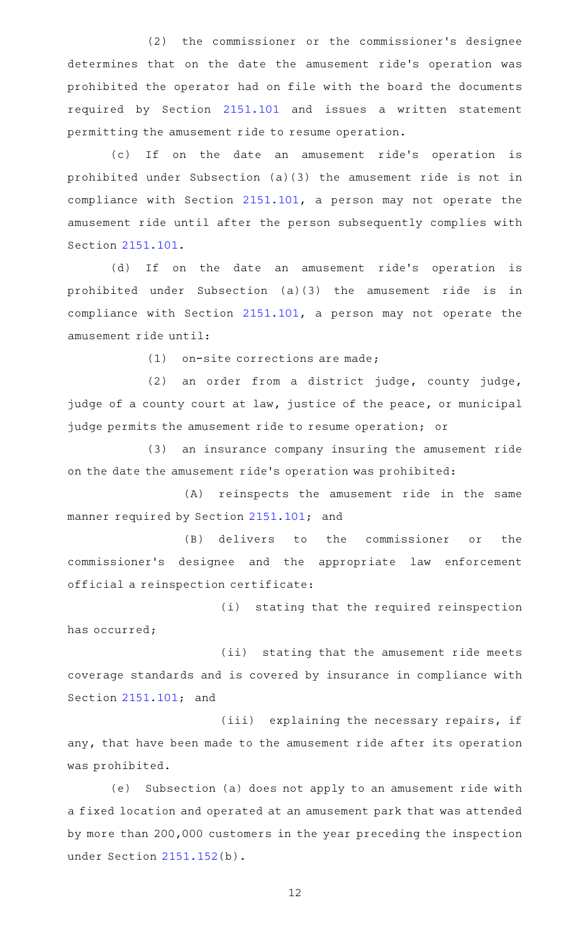(2) the commissioner or the commissioner's designee determines that on the date the amusement ride's operation was prohibited the operator had on file with the board the documents required by Section [2151.101](http://www.statutes.legis.state.tx.us/GetStatute.aspx?Code=OC&Value=2151.101) and issues a written statement permitting the amusement ride to resume operation.

(c) If on the date an amusement ride's operation is prohibited under Subsection (a)(3) the amusement ride is not in compliance with Section [2151.101,](http://www.statutes.legis.state.tx.us/GetStatute.aspx?Code=OC&Value=2151.101) a person may not operate the amusement ride until after the person subsequently complies with Section [2151.101](http://www.statutes.legis.state.tx.us/GetStatute.aspx?Code=OC&Value=2151.101).

(d) If on the date an amusement ride's operation is prohibited under Subsection (a)(3) the amusement ride is in compliance with Section [2151.101,](http://www.statutes.legis.state.tx.us/GetStatute.aspx?Code=OC&Value=2151.101) a person may not operate the amusement ride until:

 $(1)$  on-site corrections are made;

 $(2)$  an order from a district judge, county judge, judge of a county court at law, justice of the peace, or municipal judge permits the amusement ride to resume operation; or

(3) an insurance company insuring the amusement ride on the date the amusement ride 's operation was prohibited:

(A) reinspects the amusement ride in the same manner required by Section [2151.101](http://www.statutes.legis.state.tx.us/GetStatute.aspx?Code=OC&Value=2151.101); and

(B) delivers to the commissioner or the commissioner's designee and the appropriate law enforcement official a reinspection certificate:

(i) stating that the required reinspection has occurred;

(ii) stating that the amusement ride meets coverage standards and is covered by insurance in compliance with Section [2151.101](http://www.statutes.legis.state.tx.us/GetStatute.aspx?Code=OC&Value=2151.101); and

(iii) explaining the necessary repairs, if any, that have been made to the amusement ride after its operation was prohibited.

(e) Subsection (a) does not apply to an amusement ride with a fixed location and operated at an amusement park that was attended by more than 200,000 customers in the year preceding the inspection under Section [2151.152](http://www.statutes.legis.state.tx.us/GetStatute.aspx?Code=OC&Value=2151.152)(b).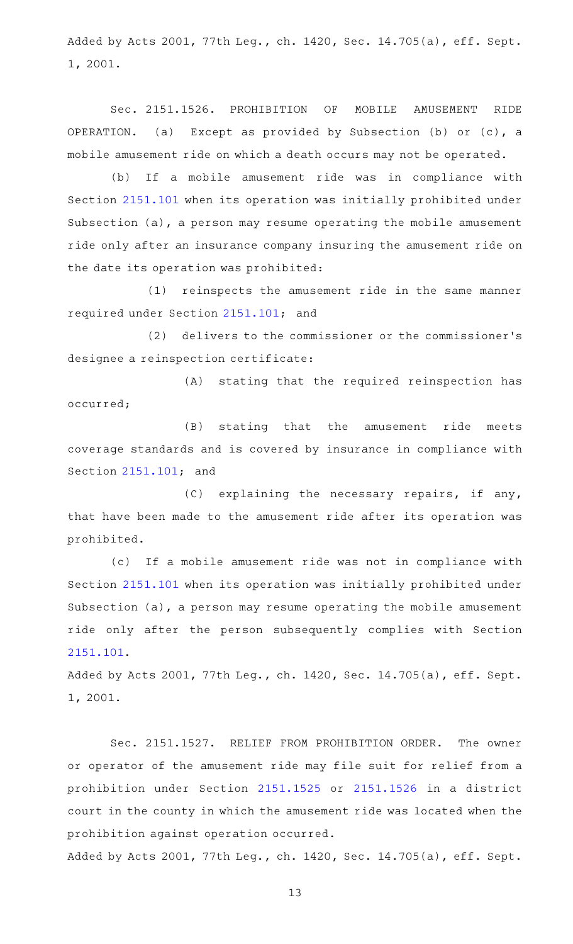Added by Acts 2001, 77th Leg., ch. 1420, Sec. 14.705(a), eff. Sept. 1, 2001.

Sec. 2151.1526. PROHIBITION OF MOBILE AMUSEMENT RIDE OPERATION. (a) Except as provided by Subsection (b) or (c), a mobile amusement ride on which a death occurs may not be operated.

(b) If a mobile amusement ride was in compliance with Section [2151.101](http://www.statutes.legis.state.tx.us/GetStatute.aspx?Code=OC&Value=2151.101) when its operation was initially prohibited under Subsection (a), a person may resume operating the mobile amusement ride only after an insurance company insuring the amusement ride on the date its operation was prohibited:

(1) reinspects the amusement ride in the same manner required under Section [2151.101](http://www.statutes.legis.state.tx.us/GetStatute.aspx?Code=OC&Value=2151.101); and

(2) delivers to the commissioner or the commissioner's designee a reinspection certificate:

(A) stating that the required reinspection has occurred;

(B) stating that the amusement ride meets coverage standards and is covered by insurance in compliance with Section [2151.101](http://www.statutes.legis.state.tx.us/GetStatute.aspx?Code=OC&Value=2151.101); and

 $(C)$  explaining the necessary repairs, if any, that have been made to the amusement ride after its operation was prohibited.

(c) If a mobile amusement ride was not in compliance with Section [2151.101](http://www.statutes.legis.state.tx.us/GetStatute.aspx?Code=OC&Value=2151.101) when its operation was initially prohibited under Subsection (a), a person may resume operating the mobile amusement ride only after the person subsequently complies with Section [2151.101](http://www.statutes.legis.state.tx.us/GetStatute.aspx?Code=OC&Value=2151.101).

Added by Acts 2001, 77th Leg., ch. 1420, Sec. 14.705(a), eff. Sept. 1, 2001.

Sec. 2151.1527. RELIEF FROM PROHIBITION ORDER. The owner or operator of the amusement ride may file suit for relief from a prohibition under Section [2151.1525](http://www.statutes.legis.state.tx.us/GetStatute.aspx?Code=OC&Value=2151.1525) or [2151.1526](http://www.statutes.legis.state.tx.us/GetStatute.aspx?Code=OC&Value=2151.1526) in a district court in the county in which the amusement ride was located when the prohibition against operation occurred.

Added by Acts 2001, 77th Leg., ch. 1420, Sec. 14.705(a), eff. Sept.